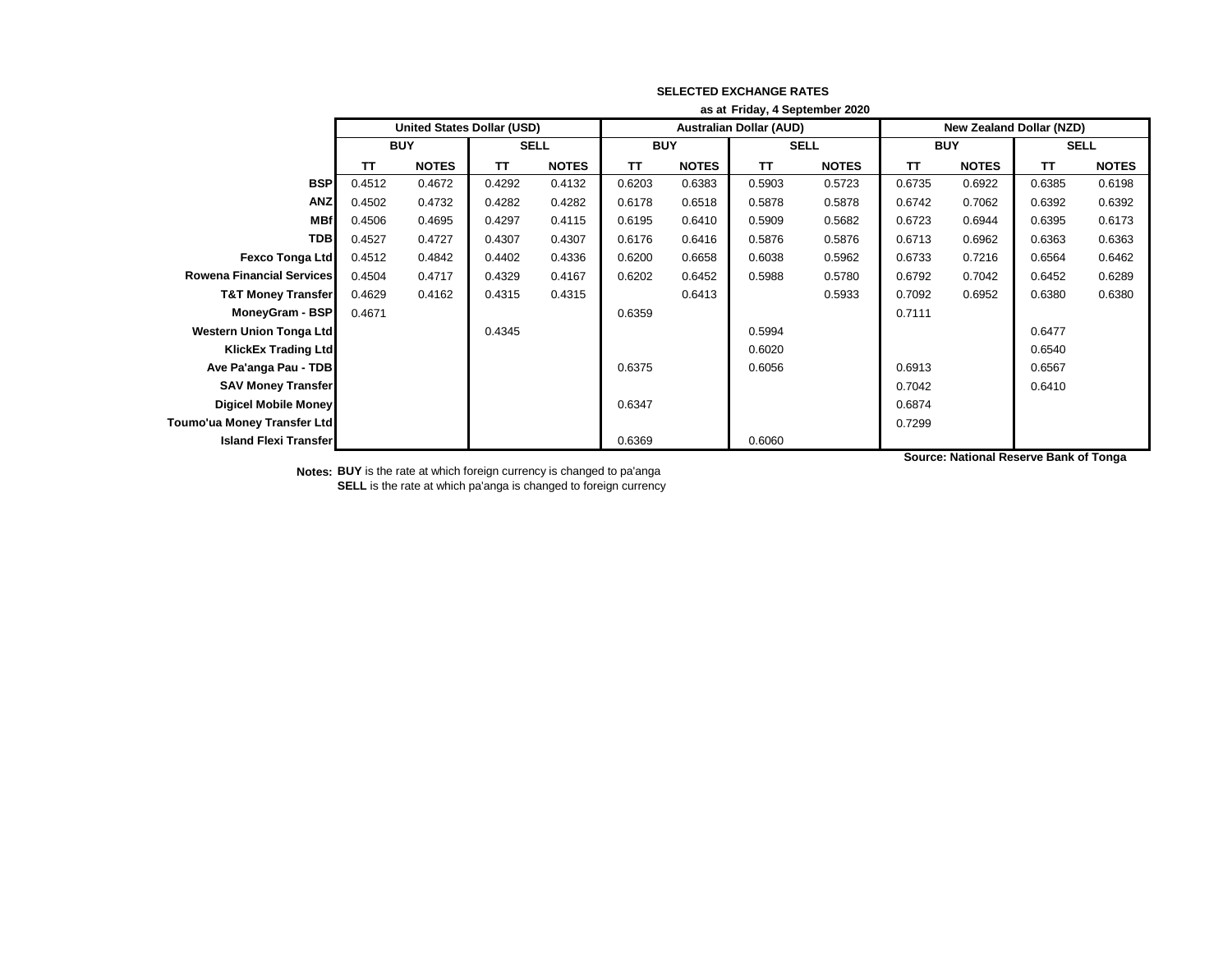|                                  | as at Friday, 4 September 2020 |                            |             |              |            |              |                                |              |                                 |              |             |              |
|----------------------------------|--------------------------------|----------------------------|-------------|--------------|------------|--------------|--------------------------------|--------------|---------------------------------|--------------|-------------|--------------|
|                                  |                                | United States Dollar (USD) |             |              |            |              | <b>Australian Dollar (AUD)</b> |              | <b>New Zealand Dollar (NZD)</b> |              |             |              |
|                                  | <b>BUY</b>                     |                            | <b>SELL</b> |              | <b>BUY</b> |              | <b>SELL</b>                    |              | <b>BUY</b>                      |              | <b>SELL</b> |              |
|                                  | TΤ                             | <b>NOTES</b>               | TΤ          | <b>NOTES</b> | <b>TT</b>  | <b>NOTES</b> | <b>TT</b>                      | <b>NOTES</b> | <b>TT</b>                       | <b>NOTES</b> | <b>TT</b>   | <b>NOTES</b> |
| <b>BSP</b>                       | 0.4512                         | 0.4672                     | 0.4292      | 0.4132       | 0.6203     | 0.6383       | 0.5903                         | 0.5723       | 0.6735                          | 0.6922       | 0.6385      | 0.6198       |
| <b>ANZ</b>                       | 0.4502                         | 0.4732                     | 0.4282      | 0.4282       | 0.6178     | 0.6518       | 0.5878                         | 0.5878       | 0.6742                          | 0.7062       | 0.6392      | 0.6392       |
| <b>MBf</b>                       | 0.4506                         | 0.4695                     | 0.4297      | 0.4115       | 0.6195     | 0.6410       | 0.5909                         | 0.5682       | 0.6723                          | 0.6944       | 0.6395      | 0.6173       |
| <b>TDB</b>                       | 0.4527                         | 0.4727                     | 0.4307      | 0.4307       | 0.6176     | 0.6416       | 0.5876                         | 0.5876       | 0.6713                          | 0.6962       | 0.6363      | 0.6363       |
| <b>Fexco Tonga Ltd</b>           | 0.4512                         | 0.4842                     | 0.4402      | 0.4336       | 0.6200     | 0.6658       | 0.6038                         | 0.5962       | 0.6733                          | 0.7216       | 0.6564      | 0.6462       |
| <b>Rowena Financial Services</b> | 0.4504                         | 0.4717                     | 0.4329      | 0.4167       | 0.6202     | 0.6452       | 0.5988                         | 0.5780       | 0.6792                          | 0.7042       | 0.6452      | 0.6289       |
| <b>T&amp;T Money Transfer</b>    | 0.4629                         | 0.4162                     | 0.4315      | 0.4315       |            | 0.6413       |                                | 0.5933       | 0.7092                          | 0.6952       | 0.6380      | 0.6380       |
| MoneyGram - BSP                  | 0.4671                         |                            |             |              | 0.6359     |              |                                |              | 0.7111                          |              |             |              |
| Western Union Tonga Ltd          |                                |                            | 0.4345      |              |            |              | 0.5994                         |              |                                 |              | 0.6477      |              |
| <b>KlickEx Trading Ltd</b>       |                                |                            |             |              |            |              | 0.6020                         |              |                                 |              | 0.6540      |              |
| Ave Pa'anga Pau - TDB            |                                |                            |             |              | 0.6375     |              | 0.6056                         |              | 0.6913                          |              | 0.6567      |              |
| <b>SAV Money Transfer</b>        |                                |                            |             |              |            |              |                                |              | 0.7042                          |              | 0.6410      |              |
| <b>Digicel Mobile Money</b>      |                                |                            |             |              | 0.6347     |              |                                |              | 0.6874                          |              |             |              |
| Toumo'ua Money Transfer Ltd      |                                |                            |             |              |            |              |                                |              | 0.7299                          |              |             |              |
| <b>Island Flexi Transfer</b>     |                                |                            |             |              | 0.6369     |              | 0.6060                         |              |                                 |              |             |              |

**Notes: BUY** is the rate at which foreign currency is changed to pa'anga **SELL** is the rate at which pa'anga is changed to foreign currency **Source: National Reserve Bank of Tonga**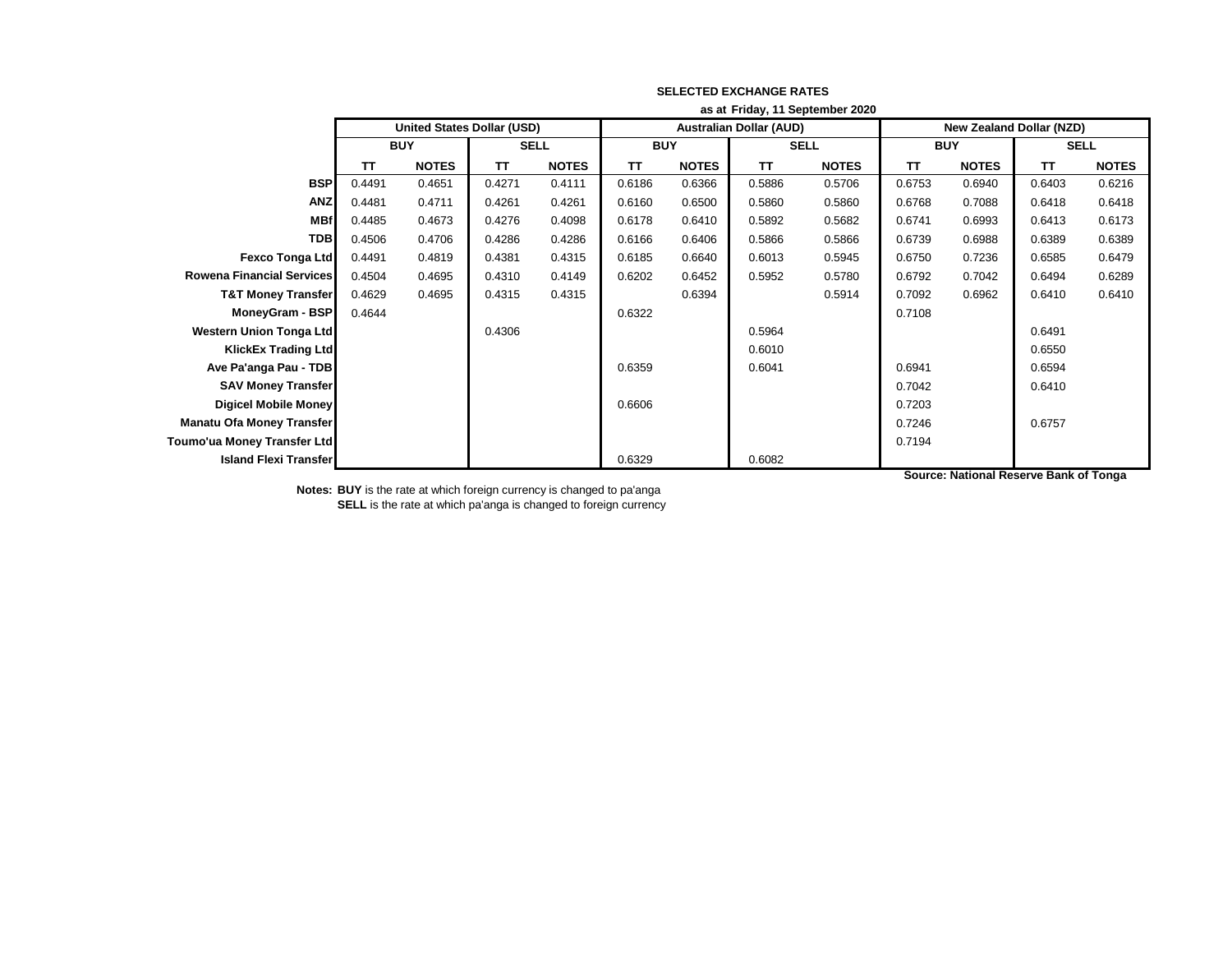|                                  | as at Friday, 11 September 2020   |              |             |              |            |              |                                |              |                                 |              |             |              |
|----------------------------------|-----------------------------------|--------------|-------------|--------------|------------|--------------|--------------------------------|--------------|---------------------------------|--------------|-------------|--------------|
|                                  | <b>United States Dollar (USD)</b> |              |             |              |            |              | <b>Australian Dollar (AUD)</b> |              | <b>New Zealand Dollar (NZD)</b> |              |             |              |
|                                  | <b>BUY</b>                        |              | <b>SELL</b> |              | <b>BUY</b> |              | <b>SELL</b>                    |              | <b>BUY</b>                      |              | <b>SELL</b> |              |
|                                  | TΤ                                | <b>NOTES</b> | TΤ          | <b>NOTES</b> | ΤT         | <b>NOTES</b> | <b>TT</b>                      | <b>NOTES</b> | ΤT                              | <b>NOTES</b> | <b>TT</b>   | <b>NOTES</b> |
| <b>BSP</b>                       | 0.4491                            | 0.4651       | 0.4271      | 0.4111       | 0.6186     | 0.6366       | 0.5886                         | 0.5706       | 0.6753                          | 0.6940       | 0.6403      | 0.6216       |
| <b>ANZ</b>                       | 0.4481                            | 0.4711       | 0.4261      | 0.4261       | 0.6160     | 0.6500       | 0.5860                         | 0.5860       | 0.6768                          | 0.7088       | 0.6418      | 0.6418       |
| <b>MBf</b>                       | 0.4485                            | 0.4673       | 0.4276      | 0.4098       | 0.6178     | 0.6410       | 0.5892                         | 0.5682       | 0.6741                          | 0.6993       | 0.6413      | 0.6173       |
| <b>TDB</b>                       | 0.4506                            | 0.4706       | 0.4286      | 0.4286       | 0.6166     | 0.6406       | 0.5866                         | 0.5866       | 0.6739                          | 0.6988       | 0.6389      | 0.6389       |
| <b>Fexco Tonga Ltd</b>           | 0.4491                            | 0.4819       | 0.4381      | 0.4315       | 0.6185     | 0.6640       | 0.6013                         | 0.5945       | 0.6750                          | 0.7236       | 0.6585      | 0.6479       |
| <b>Rowena Financial Services</b> | 0.4504                            | 0.4695       | 0.4310      | 0.4149       | 0.6202     | 0.6452       | 0.5952                         | 0.5780       | 0.6792                          | 0.7042       | 0.6494      | 0.6289       |
| <b>T&amp;T Money Transfer</b>    | 0.4629                            | 0.4695       | 0.4315      | 0.4315       |            | 0.6394       |                                | 0.5914       | 0.7092                          | 0.6962       | 0.6410      | 0.6410       |
| MoneyGram - BSP                  | 0.4644                            |              |             |              | 0.6322     |              |                                |              | 0.7108                          |              |             |              |
| <b>Western Union Tonga Ltd</b>   |                                   |              | 0.4306      |              |            |              | 0.5964                         |              |                                 |              | 0.6491      |              |
| <b>KlickEx Trading Ltd</b>       |                                   |              |             |              |            |              | 0.6010                         |              |                                 |              | 0.6550      |              |
| Ave Pa'anga Pau - TDB            |                                   |              |             |              | 0.6359     |              | 0.6041                         |              | 0.6941                          |              | 0.6594      |              |
| <b>SAV Money Transfer</b>        |                                   |              |             |              |            |              |                                |              | 0.7042                          |              | 0.6410      |              |
| <b>Digicel Mobile Money</b>      |                                   |              |             |              | 0.6606     |              |                                |              | 0.7203                          |              |             |              |
| <b>Manatu Ofa Money Transfer</b> |                                   |              |             |              |            |              |                                |              | 0.7246                          |              | 0.6757      |              |
| Toumo'ua Money Transfer Ltd      |                                   |              |             |              |            |              |                                |              | 0.7194                          |              |             |              |
| <b>Island Flexi Transfer</b>     |                                   |              |             |              | 0.6329     |              | 0.6082                         |              |                                 |              |             |              |

**Notes: BUY** is the rate at which foreign currency is changed to pa'anga

**SELL** is the rate at which pa'anga is changed to foreign currency

**Source: National Reserve Bank of Tonga**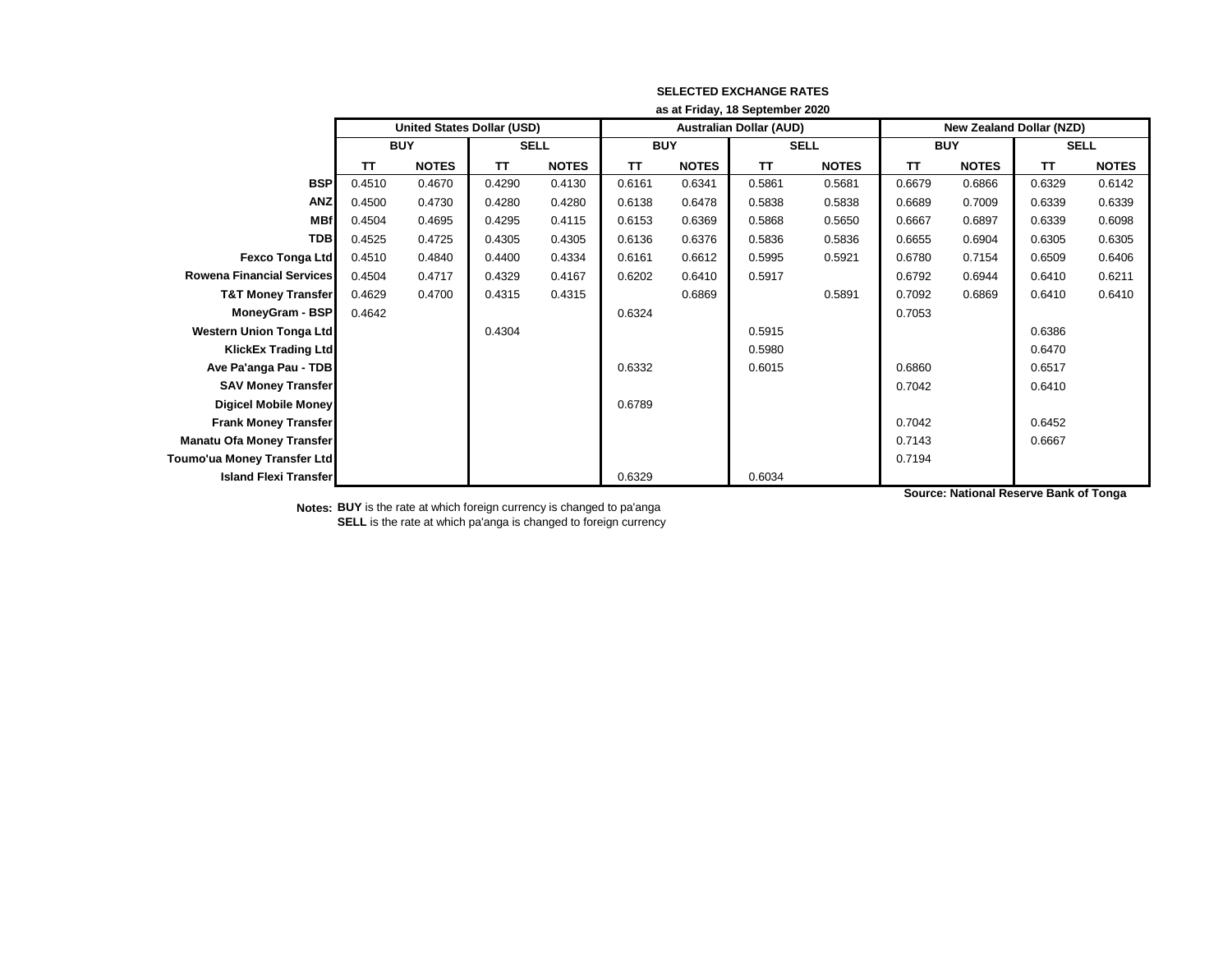|                                  | as at Friday, 18 September 2020 |                                   |             |              |            |              |                                |              |                          |              |             |              |  |
|----------------------------------|---------------------------------|-----------------------------------|-------------|--------------|------------|--------------|--------------------------------|--------------|--------------------------|--------------|-------------|--------------|--|
|                                  |                                 | <b>United States Dollar (USD)</b> |             |              |            |              | <b>Australian Dollar (AUD)</b> |              | New Zealand Dollar (NZD) |              |             |              |  |
|                                  | <b>BUY</b>                      |                                   | <b>SELL</b> |              | <b>BUY</b> |              |                                | <b>SELL</b>  | <b>BUY</b>               |              | <b>SELL</b> |              |  |
|                                  | TΤ                              | <b>NOTES</b>                      | TΤ          | <b>NOTES</b> | <b>TT</b>  | <b>NOTES</b> | <b>TT</b>                      | <b>NOTES</b> | <b>TT</b>                | <b>NOTES</b> | TΤ          | <b>NOTES</b> |  |
| <b>BSP</b>                       | 0.4510                          | 0.4670                            | 0.4290      | 0.4130       | 0.6161     | 0.6341       | 0.5861                         | 0.5681       | 0.6679                   | 0.6866       | 0.6329      | 0.6142       |  |
| <b>ANZ</b>                       | 0.4500                          | 0.4730                            | 0.4280      | 0.4280       | 0.6138     | 0.6478       | 0.5838                         | 0.5838       | 0.6689                   | 0.7009       | 0.6339      | 0.6339       |  |
| <b>MBf</b>                       | 0.4504                          | 0.4695                            | 0.4295      | 0.4115       | 0.6153     | 0.6369       | 0.5868                         | 0.5650       | 0.6667                   | 0.6897       | 0.6339      | 0.6098       |  |
| <b>TDB</b>                       | 0.4525                          | 0.4725                            | 0.4305      | 0.4305       | 0.6136     | 0.6376       | 0.5836                         | 0.5836       | 0.6655                   | 0.6904       | 0.6305      | 0.6305       |  |
| <b>Fexco Tonga Ltd</b>           | 0.4510                          | 0.4840                            | 0.4400      | 0.4334       | 0.6161     | 0.6612       | 0.5995                         | 0.5921       | 0.6780                   | 0.7154       | 0.6509      | 0.6406       |  |
| <b>Rowena Financial Services</b> | 0.4504                          | 0.4717                            | 0.4329      | 0.4167       | 0.6202     | 0.6410       | 0.5917                         |              | 0.6792                   | 0.6944       | 0.6410      | 0.6211       |  |
| <b>T&amp;T Money Transfer</b>    | 0.4629                          | 0.4700                            | 0.4315      | 0.4315       |            | 0.6869       |                                | 0.5891       | 0.7092                   | 0.6869       | 0.6410      | 0.6410       |  |
| MoneyGram - BSP                  | 0.4642                          |                                   |             |              | 0.6324     |              |                                |              | 0.7053                   |              |             |              |  |
| <b>Western Union Tonga Ltd</b>   |                                 |                                   | 0.4304      |              |            |              | 0.5915                         |              |                          |              | 0.6386      |              |  |
| <b>KlickEx Trading Ltd</b>       |                                 |                                   |             |              |            |              | 0.5980                         |              |                          |              | 0.6470      |              |  |
| Ave Pa'anga Pau - TDB            |                                 |                                   |             |              | 0.6332     |              | 0.6015                         |              | 0.6860                   |              | 0.6517      |              |  |
| <b>SAV Money Transfer</b>        |                                 |                                   |             |              |            |              |                                |              | 0.7042                   |              | 0.6410      |              |  |
| Digicel Mobile Money             |                                 |                                   |             |              | 0.6789     |              |                                |              |                          |              |             |              |  |
| <b>Frank Money Transfer</b>      |                                 |                                   |             |              |            |              |                                |              | 0.7042                   |              | 0.6452      |              |  |
| <b>Manatu Ofa Money Transfer</b> |                                 |                                   |             |              |            |              |                                |              | 0.7143                   |              | 0.6667      |              |  |
| Toumo'ua Money Transfer Ltd      |                                 |                                   |             |              |            |              |                                |              | 0.7194                   |              |             |              |  |
| <b>Island Flexi Transfer</b>     |                                 |                                   |             |              | 0.6329     |              | 0.6034                         |              |                          |              |             |              |  |

**Notes: BUY** is the rate at which foreign currency is changed to pa'anga **SELL** is the rate at which pa'anga is changed to foreign currency **Source: National Reserve Bank of Tonga**